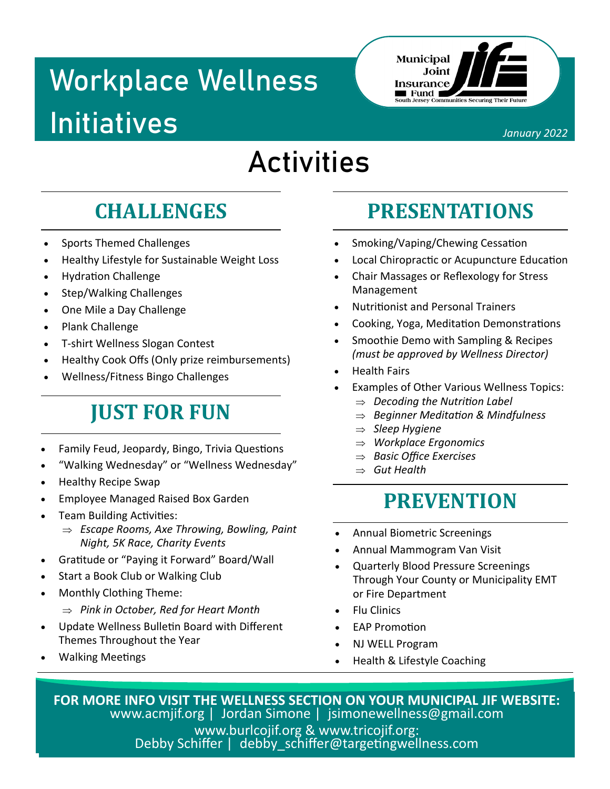## **Workplace Wellness Initiatives**



January 2022

### **Activities**

### **CHALLENGES**

- **Sports Themed Challenges**
- Healthy Lifestyle for Sustainable Weight Loss  $\bullet$
- **Hydration Challenge**  $\bullet$
- **Step/Walking Challenges**  $\bullet$
- One Mile a Day Challenge  $\bullet$
- Plank Challenge
- T-shirt Wellness Slogan Contest  $\bullet$
- Healthy Cook Offs (Only prize reimbursements)
- Wellness/Fitness Bingo Challenges

### **JUST FOR FUN**

- Family Feud, Jeopardy, Bingo, Trivia Questions
- "Walking Wednesday" or "Wellness Wednesday"
- **Healthy Recipe Swap**
- **Employee Managed Raised Box Garden**
- **Team Building Activities:** 
	- $\Rightarrow$  Escape Rooms, Axe Throwing, Bowling, Paint Night, 5K Race, Charity Events
- Gratitude or "Paying it Forward" Board/Wall
- Start a Book Club or Walking Club
- Monthly Clothing Theme:
	- $\Rightarrow$  Pink in October, Red for Heart Month
- Update Wellness Bulletin Board with Different Themes Throughout the Year
- **Walking Meetings**

### **PRESENTATIONS**

- Smoking/Vaping/Chewing Cessation
- Local Chiropractic or Acupuncture Education
- Chair Massages or Reflexology for Stress Management
- **Nutritionist and Personal Trainers**
- Cooking, Yoga, Meditation Demonstrations
- Smoothie Demo with Sampling & Recipes (must be approved by Wellness Director)
- **Health Fairs**
- Examples of Other Various Wellness Topics:
	- $\Rightarrow$  Decoding the Nutrition Label
	- $\Rightarrow$  Beginner Meditation & Mindfulness
	- $\Rightarrow$  Sleep Hygiene
	- $\Rightarrow$  Workplace Ergonomics
	- $\Rightarrow$  Basic Office Exercises
	- $\Rightarrow$  Gut Health

#### **PREVENTION**

- **Annual Biometric Screenings**
- Annual Mammogram Van Visit
- **Quarterly Blood Pressure Screenings** Through Your County or Municipality EMT or Fire Department
- **Flu Clinics**
- **FAP Promotion**
- **NJ WELL Program**
- Health & Lifestyle Coaching

FOR MORE INFO VISIT THE WELLNESS SECTION ON YOUR MUNICIPAL JIF WEBSITE: www.acmjif.org | Jordan Simone | jsimonewellness@gmail.com www.burlcojif.org & www.tricojif.org: Debby Schiffer | debby schiffer@targetingwellness.com